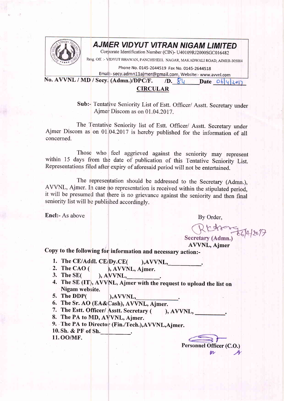

## AJMER VIDYUT VITRAN NIGAM LIMITED

Corporate Identification Number (CIN)- U40109RJ2000SGC016482

Resg. Off. :- VIDYUT BHAWAN, PANCHSHEEL NAGAR, MAKADWALI ROAD, AJMER-305004

Phone No. 0145-2644519 Fax No. 0145-2644518

Email:- secy.admn11ajmer@gmail.com, Website:- www.avvnl.com No. AVVNL / MD / Secy. (Admn.)/DPC/F. /D.  $84$  Date 06 420

## CIRCULAR

Sub:- Tentalive Seniority List of Estt. Officer/ Asstt. Secretary under Ajmer: Discom as on 01.04.2017.

The Tentative Seniority list of Estt. Officer/ Asstt. Secretary under Ajmer Discom as on 01,04.2017 is hereby published for the information of all concerned.

Those who feel aggrieved against the seniority may represent within 15 days from the date of publication of this Tentative Seniority List. Representations filed after expiry of aforesaid period will not be entertained.

The representation should be addressed to the Secretary (Admn.), AVVNL, Ajmer. In case no representation is received within the stipulated period, it will be presumed that there is no grievance against the seniority and then final seniority list will be published accordingly.

Encl:- As above By Order,

Rttre-56/4/2017

AVVNL, Ajmer

Copy to the following for information and necessary action:-

- 1. The CE/Addl. CE/Dy.CE( ),AVVNL,<br>
2. The CAO ( ), AVVNL, Ajmer.<br>
3. The SE( ), AVVNL.
- 
- $\lambda$ , AVVNL,
- 4. The SE (IT), AVVNL, Ajmer with the request to upload the list on Nigam website.
- 5. The DDP( ), AVVNL,
- 6. The Sr. AO (EA&Cash), AVVNL, Ajmer.
- 7. The Estt. Officer/ Asstt. Secretary ( ), AVVNL,
- 8. The PA to MD, AVVNL, Ajmer.
- 9. The PA to Director (Fin./Tech.), AVVNL, Ajmer.
- 10. Sh. & PF of Sh.
- 11. OO/MF.

Personnel Officer (C.O.)